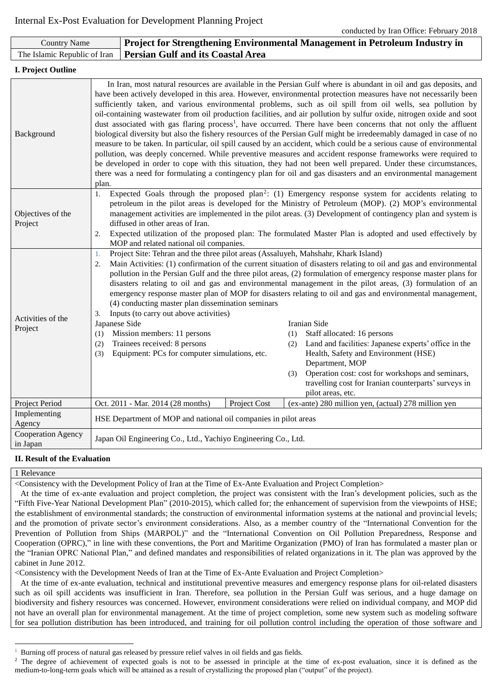| <b>Country Name</b>            |                                                                                                                                                                                                                                                                                                                                                                                                                                                                                                                                                                                                                                                                                                                                                                                                                                                                                                                                                                                                                                                                                                                                                                                                                    | <b>Project for Strengthening Environmental Management in Petroleum Industry in</b>                                                                                                                                                                                                                |              |                   |                                                                                                                                                                                                                                                                                                                                                                                                                                                                                                                                                                                                                                                                                                                                                                  |  |  |
|--------------------------------|--------------------------------------------------------------------------------------------------------------------------------------------------------------------------------------------------------------------------------------------------------------------------------------------------------------------------------------------------------------------------------------------------------------------------------------------------------------------------------------------------------------------------------------------------------------------------------------------------------------------------------------------------------------------------------------------------------------------------------------------------------------------------------------------------------------------------------------------------------------------------------------------------------------------------------------------------------------------------------------------------------------------------------------------------------------------------------------------------------------------------------------------------------------------------------------------------------------------|---------------------------------------------------------------------------------------------------------------------------------------------------------------------------------------------------------------------------------------------------------------------------------------------------|--------------|-------------------|------------------------------------------------------------------------------------------------------------------------------------------------------------------------------------------------------------------------------------------------------------------------------------------------------------------------------------------------------------------------------------------------------------------------------------------------------------------------------------------------------------------------------------------------------------------------------------------------------------------------------------------------------------------------------------------------------------------------------------------------------------------|--|--|
| The Islamic Republic of Iran   |                                                                                                                                                                                                                                                                                                                                                                                                                                                                                                                                                                                                                                                                                                                                                                                                                                                                                                                                                                                                                                                                                                                                                                                                                    | <b>Persian Gulf and its Coastal Area</b>                                                                                                                                                                                                                                                          |              |                   |                                                                                                                                                                                                                                                                                                                                                                                                                                                                                                                                                                                                                                                                                                                                                                  |  |  |
| I. Project Outline             |                                                                                                                                                                                                                                                                                                                                                                                                                                                                                                                                                                                                                                                                                                                                                                                                                                                                                                                                                                                                                                                                                                                                                                                                                    |                                                                                                                                                                                                                                                                                                   |              |                   |                                                                                                                                                                                                                                                                                                                                                                                                                                                                                                                                                                                                                                                                                                                                                                  |  |  |
| Background                     | In Iran, most natural resources are available in the Persian Gulf where is abundant in oil and gas deposits, and<br>have been actively developed in this area. However, environmental protection measures have not necessarily been<br>sufficiently taken, and various environmental problems, such as oil spill from oil wells, sea pollution by<br>oil-containing wastewater from oil production facilities, and air pollution by sulfur oxide, nitrogen oxide and soot<br>dust associated with gas flaring process <sup>1</sup> , have occurred. There have been concerns that not only the affluent<br>biological diversity but also the fishery resources of the Persian Gulf might be irredeemably damaged in case of no<br>measure to be taken. In particular, oil spill caused by an accident, which could be a serious cause of environmental<br>pollution, was deeply concerned. While preventive measures and accident response frameworks were required to<br>be developed in order to cope with this situation, they had not been well prepared. Under these circumstances,<br>there was a need for formulating a contingency plan for oil and gas disasters and an environmental management<br>plan. |                                                                                                                                                                                                                                                                                                   |              |                   |                                                                                                                                                                                                                                                                                                                                                                                                                                                                                                                                                                                                                                                                                                                                                                  |  |  |
| Objectives of the<br>Project   | Expected Goals through the proposed plan <sup>2</sup> : (1) Emergency response system for accidents relating to<br>1.<br>petroleum in the pilot areas is developed for the Ministry of Petroleum (MOP). (2) MOP's environmental<br>management activities are implemented in the pilot areas. (3) Development of contingency plan and system is<br>diffused in other areas of Iran.<br>2.<br>Expected utilization of the proposed plan: The formulated Master Plan is adopted and used effectively by<br>MOP and related national oil companies.                                                                                                                                                                                                                                                                                                                                                                                                                                                                                                                                                                                                                                                                    |                                                                                                                                                                                                                                                                                                   |              |                   |                                                                                                                                                                                                                                                                                                                                                                                                                                                                                                                                                                                                                                                                                                                                                                  |  |  |
| Activities of the<br>Project   | 1.<br>2.<br>3.<br>Japanese Side<br>(1)<br>(2)<br>(3)                                                                                                                                                                                                                                                                                                                                                                                                                                                                                                                                                                                                                                                                                                                                                                                                                                                                                                                                                                                                                                                                                                                                                               | Project Site: Tehran and the three pilot areas (Assaluyeh, Mahshahr, Khark Island)<br>(4) conducting master plan dissemination seminars<br>Inputs (to carry out above activities)<br>Mission members: 11 persons<br>Trainees received: 8 persons<br>Equipment: PCs for computer simulations, etc. |              | (1)<br>(2)<br>(3) | Main Activities: (1) confirmation of the current situation of disasters relating to oil and gas and environmental<br>pollution in the Persian Gulf and the three pilot areas, (2) formulation of emergency response master plans for<br>disasters relating to oil and gas and environmental management in the pilot areas, (3) formulation of an<br>emergency response master plan of MOP for disasters relating to oil and gas and environmental management,<br>Iranian Side<br>Staff allocated: 16 persons<br>Land and facilities: Japanese experts' office in the<br>Health, Safety and Environment (HSE)<br>Department, MOP<br>Operation cost: cost for workshops and seminars,<br>travelling cost for Iranian counterparts' surveys in<br>pilot areas, etc. |  |  |
| Project Period                 |                                                                                                                                                                                                                                                                                                                                                                                                                                                                                                                                                                                                                                                                                                                                                                                                                                                                                                                                                                                                                                                                                                                                                                                                                    | Oct. 2011 - Mar. 2014 (28 months)                                                                                                                                                                                                                                                                 | Project Cost |                   | (ex-ante) 280 million yen, (actual) 278 million yen                                                                                                                                                                                                                                                                                                                                                                                                                                                                                                                                                                                                                                                                                                              |  |  |
| Implementing<br>Agency         |                                                                                                                                                                                                                                                                                                                                                                                                                                                                                                                                                                                                                                                                                                                                                                                                                                                                                                                                                                                                                                                                                                                                                                                                                    | HSE Department of MOP and national oil companies in pilot areas                                                                                                                                                                                                                                   |              |                   |                                                                                                                                                                                                                                                                                                                                                                                                                                                                                                                                                                                                                                                                                                                                                                  |  |  |
| Cooperation Agency<br>in Japan |                                                                                                                                                                                                                                                                                                                                                                                                                                                                                                                                                                                                                                                                                                                                                                                                                                                                                                                                                                                                                                                                                                                                                                                                                    | Japan Oil Engineering Co., Ltd., Yachiyo Engineering Co., Ltd.                                                                                                                                                                                                                                    |              |                   |                                                                                                                                                                                                                                                                                                                                                                                                                                                                                                                                                                                                                                                                                                                                                                  |  |  |

# **II. Result of the Evaluation**

### 1 Relevance

 $\overline{a}$ 

<Consistency with the Development Policy of Iran at the Time of Ex-Ante Evaluation and Project Completion>

At the time of ex-ante evaluation and project completion, the project was consistent with the Iran's development policies, such as the "Fifth Five-Year National Development Plan" (2010-2015), which called for; the enhancement of supervision from the viewpoints of HSE; the establishment of environmental standards; the construction of environmental information systems at the national and provincial levels; and the promotion of private sector's environment considerations. Also, as a member country of the "International Convention for the Prevention of Pollution from Ships (MARPOL)" and the "International Convention on Oil Pollution Preparedness, Response and Cooperation (OPRC)," in line with these conventions, the Port and Maritime Organization (PMO) of Iran has formulated a master plan or the "Iranian OPRC National Plan," and defined mandates and responsibilities of related organizations in it. The plan was approved by the cabinet in June 2012.

<Consistency with the Development Needs of Iran at the Time of Ex-Ante Evaluation and Project Completion>

At the time of ex-ante evaluation, technical and institutional preventive measures and emergency response plans for oil-related disasters such as oil spill accidents was insufficient in Iran. Therefore, sea pollution in the Persian Gulf was serious, and a huge damage on biodiversity and fishery resources was concerned. However, environment considerations were relied on individual company, and MOP did not have an overall plan for environmental management. At the time of project completion, some new system such as modeling software for sea pollution distribution has been introduced, and training for oil pollution control including the operation of those software and

<sup>&</sup>lt;sup>1</sup> Burning off process of natural gas released by pressure relief valves in oil fields and gas fields.<sup>2</sup> The degree of achievement of expected goals is not to be assessed in principle at the

<sup>2</sup> The degree of achievement of expected goals is not to be assessed in principle at the time of ex-post evaluation, since it is defined as the medium-to-long-term goals which will be attained as a result of crystallizing the proposed plan ("output" of the project).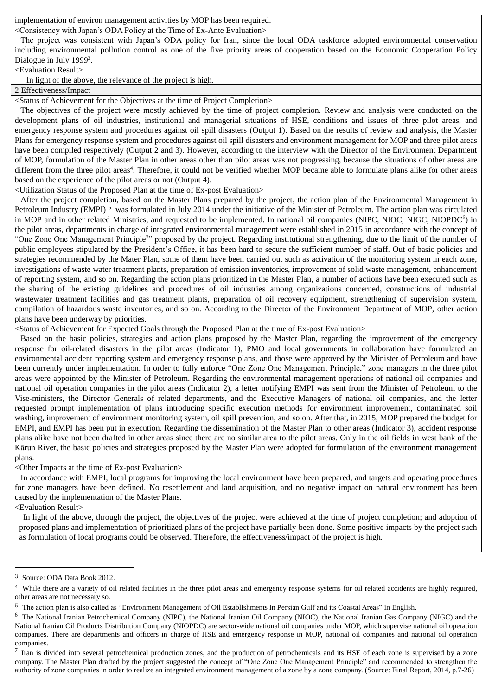implementation of environ management activities by MOP has been required.

<Consistency with Japan's ODA Policy at the Time of Ex-Ante Evaluation>

The project was consistent with Japan's ODA policy for Iran, since the local ODA taskforce adopted environmental conservation including environmental pollution control as one of the five priority areas of cooperation based on the Economic Cooperation Policy Dialogue in July 1999<sup>3</sup>.

<Evaluation Result>

In light of the above, the relevance of the project is high.

2 Effectiveness/Impact

<Status of Achievement for the Objectives at the time of Project Completion>

The objectives of the project were mostly achieved by the time of project completion. Review and analysis were conducted on the development plans of oil industries, institutional and managerial situations of HSE, conditions and issues of three pilot areas, and emergency response system and procedures against oil spill disasters (Output 1). Based on the results of review and analysis, the Master Plans for emergency response system and procedures against oil spill disasters and environment management for MOP and three pilot areas have been compiled respectively (Output 2 and 3). However, according to the interview with the Director of the Environment Department of MOP, formulation of the Master Plan in other areas other than pilot areas was not progressing, because the situations of other areas are different from the three pilot areas<sup>4</sup>. Therefore, it could not be verified whether MOP became able to formulate plans alike for other areas based on the experience of the pilot areas or not (Output 4).

<Utilization Status of the Proposed Plan at the time of Ex-post Evaluation>

After the project completion, based on the Master Plans prepared by the project, the action plan of the Environmental Management in Petroleum Industry (EMPI)<sup>5</sup> was formulated in July 2014 under the initiative of the Minister of Petroleum. The action plan was circulated in MOP and in other related Ministries, and requested to be implemented. In national oil companies (NIPC, NIOC, NIGC, NIOPDC<sup>6</sup>) in the pilot areas, departments in charge of integrated environmental management were established in 2015 in accordance with the concept of "One Zone One Management Principle<sup>7</sup>" proposed by the project. Regarding institutional strengthening, due to the limit of the number of public employees stipulated by the President's Office, it has been hard to secure the sufficient number of staff. Out of basic policies and strategies recommended by the Mater Plan, some of them have been carried out such as activation of the monitoring system in each zone, investigations of waste water treatment plants, preparation of emission inventories, improvement of solid waste management, enhancement of reporting system, and so on. Regarding the action plans prioritized in the Master Plan, a number of actions have been executed such as the sharing of the existing guidelines and procedures of oil industries among organizations concerned, constructions of industrial wastewater treatment facilities and gas treatment plants, preparation of oil recovery equipment, strengthening of supervision system, compilation of hazardous waste inventories, and so on. According to the Director of the Environment Department of MOP, other action plans have been underway by priorities.

<Status of Achievement for Expected Goals through the Proposed Plan at the time of Ex-post Evaluation>

Based on the basic policies, strategies and action plans proposed by the Master Plan, regarding the improvement of the emergency response for oil-related disasters in the pilot areas (Indicator 1), PMO and local governments in collaboration have formulated an environmental accident reporting system and emergency response plans, and those were approved by the Minister of Petroleum and have been currently under implementation. In order to fully enforce "One Zone One Management Principle," zone managers in the three pilot areas were appointed by the Minister of Petroleum. Regarding the environmental management operations of national oil companies and national oil operation companies in the pilot areas (Indicator 2), a letter notifying EMPI was sent from the Minister of Petroleum to the Vise-ministers, the Director Generals of related departments, and the Executive Managers of national oil companies, and the letter requested prompt implementation of plans introducing specific execution methods for environment improvement, contaminated soil washing, improvement of environment monitoring system, oil spill prevention, and so on. After that, in 2015, MOP prepared the budget for EMPI, and EMPI has been put in execution. Regarding the dissemination of the Master Plan to other areas (Indicator 3), accident response plans alike have not been drafted in other areas since there are no similar area to the pilot areas. Only in the oil fields in west bank of the Kārun River, the basic policies and strategies proposed by the Master Plan were adopted for formulation of the environment management plans.

<Other Impacts at the time of Ex-post Evaluation>

In accordance with EMPI, local programs for improving the local environment have been prepared, and targets and operating procedures for zone managers have been defined. No resettlement and land acquisition, and no negative impact on natural environment has been caused by the implementation of the Master Plans.

<Evaluation Result>

 $\overline{a}$ 

In light of the above, through the project, the objectives of the project were achieved at the time of project completion; and adoption of proposed plans and implementation of prioritized plans of the project have partially been done. Some positive impacts by the project such as formulation of local programs could be observed. Therefore, the effectiveness/impact of the project is high.

<sup>3</sup> Source: ODA Data Book 2012.

<sup>&</sup>lt;sup>4</sup> While there are a variety of oil related facilities in the three pilot areas and emergency response systems for oil related accidents are highly required, other areas are not necessary so.

<sup>5</sup> The action plan is also called as "Environment Management of Oil Establishments in Persian Gulf and its Coastal Areas" in English.

<sup>&</sup>lt;sup>6</sup> The National Iranian Petrochemical Company (NIPC), the National Iranian Oil Company (NIOC), the National Iranian Gas Company (NIGC) and the National Iranian Oil Products Distribution Company (NIOPDC) are sector-wide national oil companies under MOP, which supervise national oil operation companies. There are departments and officers in charge of HSE and emergency response in MOP, national oil companies and national oil operation companies.

 $<sup>7</sup>$  Iran is divided into several petrochemical production zones, and the production of petrochemicals and its HSE of each zone is supervised by a zone</sup> company. The Master Plan drafted by the project suggested the concept of "One Zone One Management Principle" and recommended to strengthen the authority of zone companies in order to realize an integrated environment management of a zone by a zone company. (Source: Final Report, 2014, p.7-26)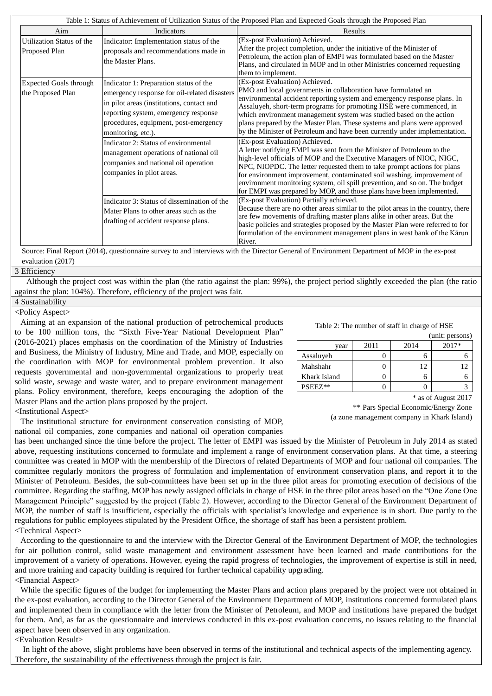| Table 1: Status of Achievement of Utilization Status of the Proposed Plan and Expected Goals through the Proposed Plan |                                                                                                                                                                                                                                                                                                                                                                                                                                                 |                                                                                                                                                                                                                                                                                                                                                                                                                                                                                                                                                                                                                                                                                                                                                                                                                                                                                                                                                                                                                                 |  |  |  |  |  |
|------------------------------------------------------------------------------------------------------------------------|-------------------------------------------------------------------------------------------------------------------------------------------------------------------------------------------------------------------------------------------------------------------------------------------------------------------------------------------------------------------------------------------------------------------------------------------------|---------------------------------------------------------------------------------------------------------------------------------------------------------------------------------------------------------------------------------------------------------------------------------------------------------------------------------------------------------------------------------------------------------------------------------------------------------------------------------------------------------------------------------------------------------------------------------------------------------------------------------------------------------------------------------------------------------------------------------------------------------------------------------------------------------------------------------------------------------------------------------------------------------------------------------------------------------------------------------------------------------------------------------|--|--|--|--|--|
| Aim                                                                                                                    | <b>Indicators</b>                                                                                                                                                                                                                                                                                                                                                                                                                               | Results                                                                                                                                                                                                                                                                                                                                                                                                                                                                                                                                                                                                                                                                                                                                                                                                                                                                                                                                                                                                                         |  |  |  |  |  |
| Utilization Status of the<br>Proposed Plan                                                                             | Indicator: Implementation status of the<br>proposals and recommendations made in<br>the Master Plans.                                                                                                                                                                                                                                                                                                                                           | (Ex-post Evaluation) Achieved.<br>After the project completion, under the initiative of the Minister of<br>Petroleum, the action plan of EMPI was formulated based on the Master<br>Plans, and circulated in MOP and in other Ministries concerned requesting<br>them to implement.                                                                                                                                                                                                                                                                                                                                                                                                                                                                                                                                                                                                                                                                                                                                             |  |  |  |  |  |
| <b>Expected Goals through</b><br>the Proposed Plan                                                                     | Indicator 1: Preparation status of the<br>emergency response for oil-related disasters<br>in pilot areas (institutions, contact and<br>reporting system, emergency response<br>procedures, equipment, post-emergency<br>monitoring, etc.).<br>Indicator 2: Status of environmental<br>management operations of national oil<br>companies and national oil operation<br>companies in pilot areas.<br>Indicator 3: Status of dissemination of the | (Ex-post Evaluation) Achieved.<br>PMO and local governments in collaboration have formulated an<br>environmental accident reporting system and emergency response plans. In<br>Assaluyeh, short-term programs for promoting HSE were commenced, in<br>which environment management system was studied based on the action<br>plans prepared by the Master Plan. These systems and plans were approved<br>by the Minister of Petroleum and have been currently under implementation.<br>(Ex-post Evaluation) Achieved.<br>A letter notifying EMPI was sent from the Minister of Petroleum to the<br>high-level officials of MOP and the Executive Managers of NIOC, NIGC,<br>NPC, NIOPDC. The letter requested them to take prompt actions for plans<br>for environment improvement, contaminated soil washing, improvement of<br>environment monitoring system, oil spill prevention, and so on. The budget<br>for EMPI was prepared by MOP, and those plans have been implemented.<br>(Ex-post Evaluation) Partially achieved. |  |  |  |  |  |
| $\mathbf{m}$ in                                                                                                        | Mater Plans to other areas such as the<br>drafting of accident response plans.<br>(1, 2, 3, 3, 4, 5)                                                                                                                                                                                                                                                                                                                                            | Because there are no other areas similar to the pilot areas in the country, there<br>are few movements of drafting master plans alike in other areas. But the<br>basic policies and strategies proposed by the Master Plan were referred to for<br>formulation of the environment management plans in west bank of the Kārun<br>River.<br>$\sim$ $\sim$ $\sim$ $\sim$ $\sim$<br>$\sim$ $\sim$<br>$\mathbf{r}$                                                                                                                                                                                                                                                                                                                                                                                                                                                                                                                                                                                                                   |  |  |  |  |  |

Source: Final Report (2014), questionnaire survey to and interviews with the Director General of Environment Department of MOP in the ex-post evaluation (2017)

3 Efficiency

Although the project cost was within the plan (the ratio against the plan: 99%), the project period slightly exceeded the plan (the ratio against the plan: 104%). Therefore, efficiency of the project was fair.

# 4 Sustainability <Policy Aspect>

Aiming at an expansion of the national production of petrochemical products to be 100 million tons, the "Sixth Five-Year National Development Plan" (2016-2021) places emphasis on the coordination of the Ministry of Industries and Business, the Ministry of Industry, Mine and Trade, and MOP, especially on the coordination with MOP for environmental problem prevention. It also requests governmental and non-governmental organizations to properly treat solid waste, sewage and waste water, and to prepare environment management plans. Policy environment, therefore, keeps encouraging the adoption of the Master Plans and the action plans proposed by the project.

Table 2: The number of staff in charge of HSE

|              |      |      | (unit: persons) |
|--------------|------|------|-----------------|
| vear         | 2011 | 2014 | $2017*$         |
| Assaluyeh    |      |      |                 |
| Mahshahr     |      |      |                 |
| Khark Island |      |      |                 |
| PSEEZ**      |      |      |                 |

\* as of August 2017

\*\* Pars Special Economic/Energy Zone (a zone management company in Khark Island)

<Institutional Aspect>

The institutional structure for environment conservation consisting of MOP, national oil companies, zone companies and national oil operation companies

has been unchanged since the time before the project. The letter of EMPI was issued by the Minister of Petroleum in July 2014 as stated above, requesting institutions concerned to formulate and implement a range of environment conservation plans. At that time, a steering committee was created in MOP with the membership of the Directors of related Departments of MOP and four national oil companies. The committee regularly monitors the progress of formulation and implementation of environment conservation plans, and report it to the Minister of Petroleum. Besides, the sub-committees have been set up in the three pilot areas for promoting execution of decisions of the committee. Regarding the staffing, MOP has newly assigned officials in charge of HSE in the three pilot areas based on the "One Zone One Management Principle" suggested by the project (Table 2). However, according to the Director General of the Environment Department of MOP, the number of staff is insufficient, especially the officials with specialist's knowledge and experience is in short. Due partly to the regulations for public employees stipulated by the President Office, the shortage of staff has been a persistent problem. <Technical Aspect>

According to the questionnaire to and the interview with the Director General of the Environment Department of MOP, the technologies for air pollution control, solid waste management and environment assessment have been learned and made contributions for the improvement of a variety of operations. However, eyeing the rapid progress of technologies, the improvement of expertise is still in need, and more training and capacity building is required for further technical capability upgrading. <Financial Aspect>

While the specific figures of the budget for implementing the Master Plans and action plans prepared by the project were not obtained in the ex-post evaluation, according to the Director General of the Environment Department of MOP, institutions concerned formulated plans and implemented them in compliance with the letter from the Minister of Petroleum, and MOP and institutions have prepared the budget for them. And, as far as the questionnaire and interviews conducted in this ex-post evaluation concerns, no issues relating to the financial aspect have been observed in any organization.

<Evaluation Result>

In light of the above, slight problems have been observed in terms of the institutional and technical aspects of the implementing agency. Therefore, the sustainability of the effectiveness through the project is fair.